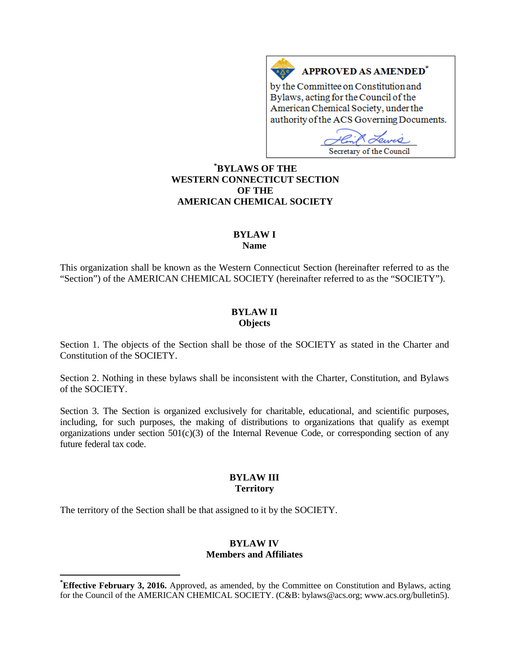# **APPROVED AS AMENDED<sup>\*</sup>**

by the Committee on Constitution and Bylaws, acting for the Council of the American Chemical Society, under the authority of the ACS Governing Documents.

чÒ Secretary of the Council

## **[\\*](#page-0-0) BYLAWS OF THE WESTERN CONNECTICUT SECTION OF THE AMERICAN CHEMICAL SOCIETY**

 $A \overline{A}$ 

# **BYLAW I**

**Name**

This organization shall be known as the Western Connecticut Section (hereinafter referred to as the "Section") of the AMERICAN CHEMICAL SOCIETY (hereinafter referred to as the "SOCIETY").

### **BYLAW II Objects**

Section 1. The objects of the Section shall be those of the SOCIETY as stated in the Charter and Constitution of the SOCIETY.

Section 2. Nothing in these bylaws shall be inconsistent with the Charter, Constitution, and Bylaws of the SOCIETY.

Section 3. The Section is organized exclusively for charitable, educational, and scientific purposes, including, for such purposes, the making of distributions to organizations that qualify as exempt organizations under section  $501(c)(3)$  of the Internal Revenue Code, or corresponding section of any future federal tax code.

#### **BYLAW III Territory**

The territory of the Section shall be that assigned to it by the SOCIETY.

#### **BYLAW IV Members and Affiliates**

<span id="page-0-0"></span>**\* Effective February 3, 2016.** Approved, as amended, by the Committee on Constitution and Bylaws, acting for the Council of the AMERICAN CHEMICAL SOCIETY. (C&B: bylaws@acs.org; www.acs.org/bulletin5).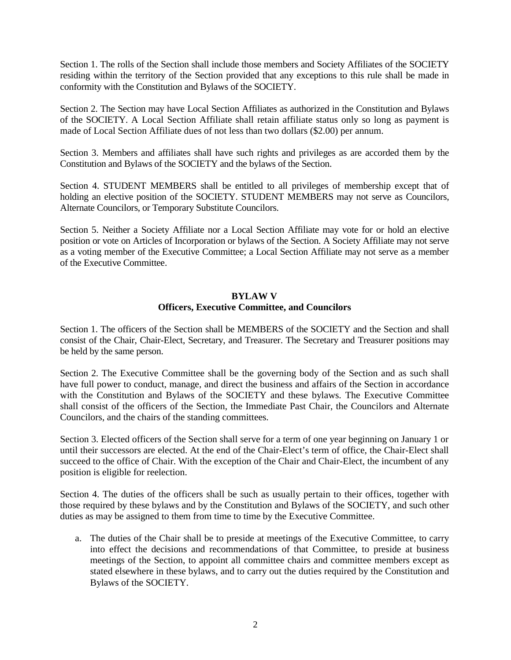Section 1. The rolls of the Section shall include those members and Society Affiliates of the SOCIETY residing within the territory of the Section provided that any exceptions to this rule shall be made in conformity with the Constitution and Bylaws of the SOCIETY.

Section 2. The Section may have Local Section Affiliates as authorized in the Constitution and Bylaws of the SOCIETY. A Local Section Affiliate shall retain affiliate status only so long as payment is made of Local Section Affiliate dues of not less than two dollars (\$2.00) per annum.

Section 3. Members and affiliates shall have such rights and privileges as are accorded them by the Constitution and Bylaws of the SOCIETY and the bylaws of the Section.

Section 4. STUDENT MEMBERS shall be entitled to all privileges of membership except that of holding an elective position of the SOCIETY. STUDENT MEMBERS may not serve as Councilors, Alternate Councilors, or Temporary Substitute Councilors.

Section 5. Neither a Society Affiliate nor a Local Section Affiliate may vote for or hold an elective position or vote on Articles of Incorporation or bylaws of the Section. A Society Affiliate may not serve as a voting member of the Executive Committee; a Local Section Affiliate may not serve as a member of the Executive Committee.

#### **BYLAW V**

### **Officers, Executive Committee, and Councilors**

Section 1. The officers of the Section shall be MEMBERS of the SOCIETY and the Section and shall consist of the Chair, Chair-Elect, Secretary, and Treasurer. The Secretary and Treasurer positions may be held by the same person.

Section 2. The Executive Committee shall be the governing body of the Section and as such shall have full power to conduct, manage, and direct the business and affairs of the Section in accordance with the Constitution and Bylaws of the SOCIETY and these bylaws. The Executive Committee shall consist of the officers of the Section, the Immediate Past Chair, the Councilors and Alternate Councilors, and the chairs of the standing committees.

Section 3. Elected officers of the Section shall serve for a term of one year beginning on January 1 or until their successors are elected. At the end of the Chair-Elect's term of office, the Chair-Elect shall succeed to the office of Chair. With the exception of the Chair and Chair-Elect, the incumbent of any position is eligible for reelection.

Section 4. The duties of the officers shall be such as usually pertain to their offices, together with those required by these bylaws and by the Constitution and Bylaws of the SOCIETY, and such other duties as may be assigned to them from time to time by the Executive Committee.

a. The duties of the Chair shall be to preside at meetings of the Executive Committee, to carry into effect the decisions and recommendations of that Committee, to preside at business meetings of the Section, to appoint all committee chairs and committee members except as stated elsewhere in these bylaws, and to carry out the duties required by the Constitution and Bylaws of the SOCIETY.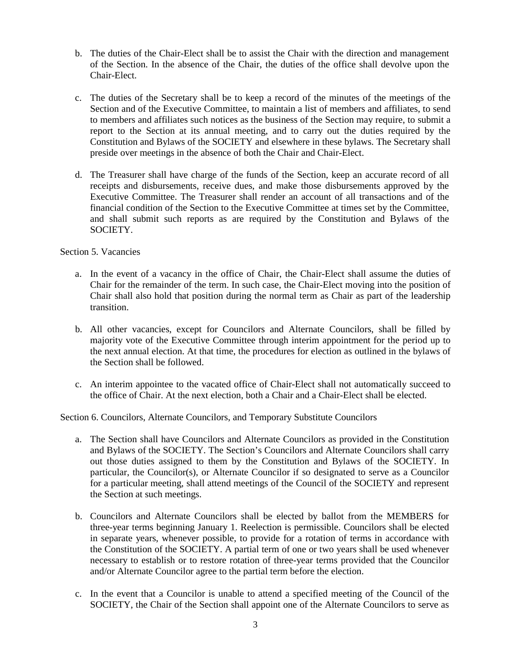- b. The duties of the Chair-Elect shall be to assist the Chair with the direction and management of the Section. In the absence of the Chair, the duties of the office shall devolve upon the Chair-Elect.
- c. The duties of the Secretary shall be to keep a record of the minutes of the meetings of the Section and of the Executive Committee, to maintain a list of members and affiliates, to send to members and affiliates such notices as the business of the Section may require, to submit a report to the Section at its annual meeting, and to carry out the duties required by the Constitution and Bylaws of the SOCIETY and elsewhere in these bylaws. The Secretary shall preside over meetings in the absence of both the Chair and Chair-Elect.
- d. The Treasurer shall have charge of the funds of the Section, keep an accurate record of all receipts and disbursements, receive dues, and make those disbursements approved by the Executive Committee. The Treasurer shall render an account of all transactions and of the financial condition of the Section to the Executive Committee at times set by the Committee, and shall submit such reports as are required by the Constitution and Bylaws of the SOCIETY.

#### Section 5. Vacancies

- a. In the event of a vacancy in the office of Chair, the Chair-Elect shall assume the duties of Chair for the remainder of the term. In such case, the Chair-Elect moving into the position of Chair shall also hold that position during the normal term as Chair as part of the leadership transition.
- b. All other vacancies, except for Councilors and Alternate Councilors, shall be filled by majority vote of the Executive Committee through interim appointment for the period up to the next annual election. At that time, the procedures for election as outlined in the bylaws of the Section shall be followed.
- c. An interim appointee to the vacated office of Chair-Elect shall not automatically succeed to the office of Chair. At the next election, both a Chair and a Chair-Elect shall be elected.

Section 6. Councilors, Alternate Councilors, and Temporary Substitute Councilors

- a. The Section shall have Councilors and Alternate Councilors as provided in the Constitution and Bylaws of the SOCIETY. The Section's Councilors and Alternate Councilors shall carry out those duties assigned to them by the Constitution and Bylaws of the SOCIETY. In particular, the Councilor(s), or Alternate Councilor if so designated to serve as a Councilor for a particular meeting, shall attend meetings of the Council of the SOCIETY and represent the Section at such meetings.
- b. Councilors and Alternate Councilors shall be elected by ballot from the MEMBERS for three-year terms beginning January 1. Reelection is permissible. Councilors shall be elected in separate years, whenever possible, to provide for a rotation of terms in accordance with the Constitution of the SOCIETY. A partial term of one or two years shall be used whenever necessary to establish or to restore rotation of three-year terms provided that the Councilor and/or Alternate Councilor agree to the partial term before the election.
- c. In the event that a Councilor is unable to attend a specified meeting of the Council of the SOCIETY, the Chair of the Section shall appoint one of the Alternate Councilors to serve as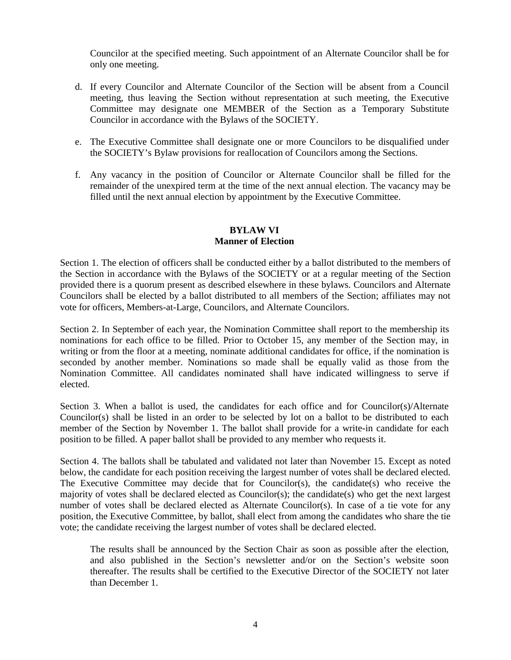Councilor at the specified meeting. Such appointment of an Alternate Councilor shall be for only one meeting.

- d. If every Councilor and Alternate Councilor of the Section will be absent from a Council meeting, thus leaving the Section without representation at such meeting, the Executive Committee may designate one MEMBER of the Section as a Temporary Substitute Councilor in accordance with the Bylaws of the SOCIETY.
- e. The Executive Committee shall designate one or more Councilors to be disqualified under the SOCIETY's Bylaw provisions for reallocation of Councilors among the Sections.
- f. Any vacancy in the position of Councilor or Alternate Councilor shall be filled for the remainder of the unexpired term at the time of the next annual election. The vacancy may be filled until the next annual election by appointment by the Executive Committee.

# **BYLAW VI Manner of Election**

Section 1. The election of officers shall be conducted either by a ballot distributed to the members of the Section in accordance with the Bylaws of the SOCIETY or at a regular meeting of the Section provided there is a quorum present as described elsewhere in these bylaws. Councilors and Alternate Councilors shall be elected by a ballot distributed to all members of the Section; affiliates may not vote for officers, Members-at-Large, Councilors, and Alternate Councilors.

Section 2. In September of each year, the Nomination Committee shall report to the membership its nominations for each office to be filled. Prior to October 15, any member of the Section may, in writing or from the floor at a meeting, nominate additional candidates for office, if the nomination is seconded by another member. Nominations so made shall be equally valid as those from the Nomination Committee. All candidates nominated shall have indicated willingness to serve if elected.

Section 3. When a ballot is used, the candidates for each office and for Councilor(s)/Alternate Councilor(s) shall be listed in an order to be selected by lot on a ballot to be distributed to each member of the Section by November 1. The ballot shall provide for a write-in candidate for each position to be filled. A paper ballot shall be provided to any member who requests it.

Section 4. The ballots shall be tabulated and validated not later than November 15. Except as noted below, the candidate for each position receiving the largest number of votes shall be declared elected. The Executive Committee may decide that for Councilor(s), the candidate(s) who receive the majority of votes shall be declared elected as Councilor(s); the candidate(s) who get the next largest number of votes shall be declared elected as Alternate Councilor(s). In case of a tie vote for any position, the Executive Committee, by ballot, shall elect from among the candidates who share the tie vote; the candidate receiving the largest number of votes shall be declared elected.

The results shall be announced by the Section Chair as soon as possible after the election, and also published in the Section's newsletter and/or on the Section's website soon thereafter. The results shall be certified to the Executive Director of the SOCIETY not later than December 1.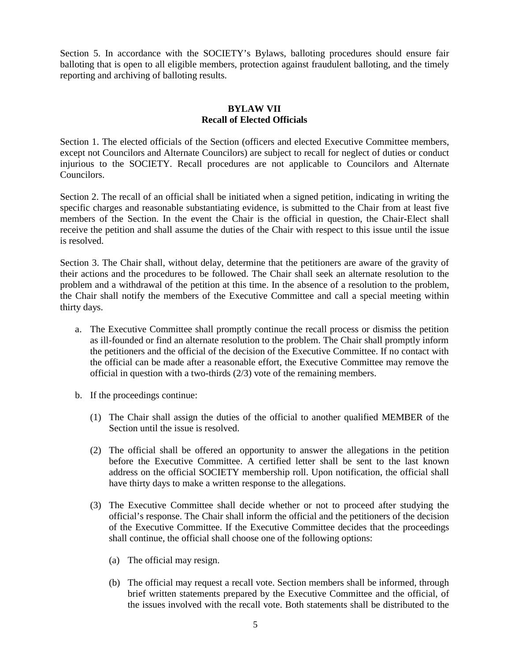Section 5. In accordance with the SOCIETY's Bylaws, balloting procedures should ensure fair balloting that is open to all eligible members, protection against fraudulent balloting, and the timely reporting and archiving of balloting results.

# **BYLAW VII Recall of Elected Officials**

Section 1. The elected officials of the Section (officers and elected Executive Committee members, except not Councilors and Alternate Councilors) are subject to recall for neglect of duties or conduct injurious to the SOCIETY. Recall procedures are not applicable to Councilors and Alternate Councilors.

Section 2. The recall of an official shall be initiated when a signed petition, indicating in writing the specific charges and reasonable substantiating evidence, is submitted to the Chair from at least five members of the Section. In the event the Chair is the official in question, the Chair-Elect shall receive the petition and shall assume the duties of the Chair with respect to this issue until the issue is resolved.

Section 3. The Chair shall, without delay, determine that the petitioners are aware of the gravity of their actions and the procedures to be followed. The Chair shall seek an alternate resolution to the problem and a withdrawal of the petition at this time. In the absence of a resolution to the problem, the Chair shall notify the members of the Executive Committee and call a special meeting within thirty days.

- a. The Executive Committee shall promptly continue the recall process or dismiss the petition as ill-founded or find an alternate resolution to the problem. The Chair shall promptly inform the petitioners and the official of the decision of the Executive Committee. If no contact with the official can be made after a reasonable effort, the Executive Committee may remove the official in question with a two-thirds (2/3) vote of the remaining members.
- b. If the proceedings continue:
	- (1) The Chair shall assign the duties of the official to another qualified MEMBER of the Section until the issue is resolved.
	- (2) The official shall be offered an opportunity to answer the allegations in the petition before the Executive Committee. A certified letter shall be sent to the last known address on the official SOCIETY membership roll. Upon notification, the official shall have thirty days to make a written response to the allegations.
	- (3) The Executive Committee shall decide whether or not to proceed after studying the official's response. The Chair shall inform the official and the petitioners of the decision of the Executive Committee. If the Executive Committee decides that the proceedings shall continue, the official shall choose one of the following options:
		- (a) The official may resign.
		- (b) The official may request a recall vote. Section members shall be informed, through brief written statements prepared by the Executive Committee and the official, of the issues involved with the recall vote. Both statements shall be distributed to the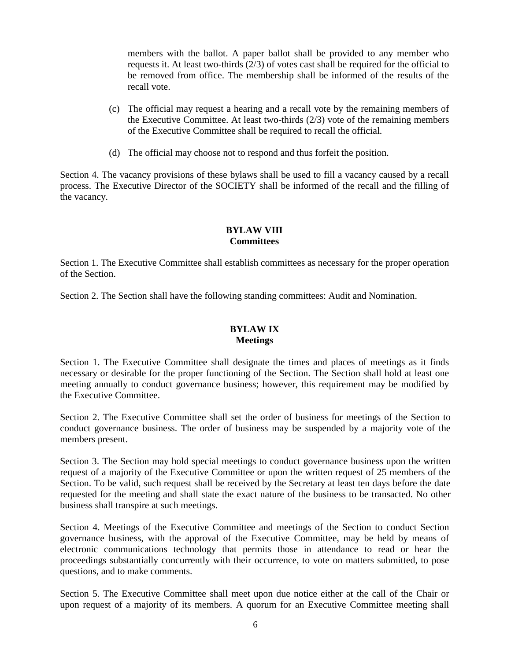members with the ballot. A paper ballot shall be provided to any member who requests it. At least two-thirds (2/3) of votes cast shall be required for the official to be removed from office. The membership shall be informed of the results of the recall vote.

- (c) The official may request a hearing and a recall vote by the remaining members of the Executive Committee. At least two-thirds (2/3) vote of the remaining members of the Executive Committee shall be required to recall the official.
- (d) The official may choose not to respond and thus forfeit the position.

Section 4. The vacancy provisions of these bylaws shall be used to fill a vacancy caused by a recall process. The Executive Director of the SOCIETY shall be informed of the recall and the filling of the vacancy.

### **BYLAW VIII Committees**

Section 1. The Executive Committee shall establish committees as necessary for the proper operation of the Section.

Section 2. The Section shall have the following standing committees: Audit and Nomination.

## **BYLAW IX Meetings**

Section 1. The Executive Committee shall designate the times and places of meetings as it finds necessary or desirable for the proper functioning of the Section. The Section shall hold at least one meeting annually to conduct governance business; however, this requirement may be modified by the Executive Committee.

Section 2. The Executive Committee shall set the order of business for meetings of the Section to conduct governance business. The order of business may be suspended by a majority vote of the members present.

Section 3. The Section may hold special meetings to conduct governance business upon the written request of a majority of the Executive Committee or upon the written request of 25 members of the Section. To be valid, such request shall be received by the Secretary at least ten days before the date requested for the meeting and shall state the exact nature of the business to be transacted. No other business shall transpire at such meetings.

Section 4. Meetings of the Executive Committee and meetings of the Section to conduct Section governance business, with the approval of the Executive Committee, may be held by means of electronic communications technology that permits those in attendance to read or hear the proceedings substantially concurrently with their occurrence, to vote on matters submitted, to pose questions, and to make comments.

Section 5. The Executive Committee shall meet upon due notice either at the call of the Chair or upon request of a majority of its members. A quorum for an Executive Committee meeting shall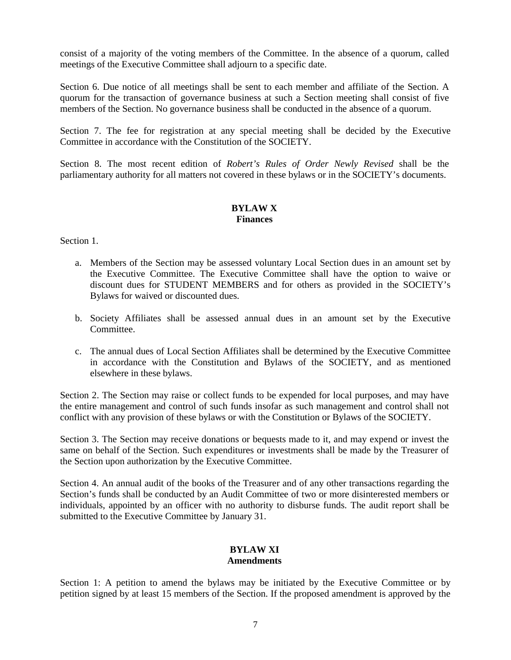consist of a majority of the voting members of the Committee. In the absence of a quorum, called meetings of the Executive Committee shall adjourn to a specific date.

Section 6. Due notice of all meetings shall be sent to each member and affiliate of the Section. A quorum for the transaction of governance business at such a Section meeting shall consist of five members of the Section. No governance business shall be conducted in the absence of a quorum.

Section 7. The fee for registration at any special meeting shall be decided by the Executive Committee in accordance with the Constitution of the SOCIETY.

Section 8. The most recent edition of *Robert's Rules of Order Newly Revised* shall be the parliamentary authority for all matters not covered in these bylaws or in the SOCIETY's documents.

## **BYLAW X Finances**

Section 1.

- a. Members of the Section may be assessed voluntary Local Section dues in an amount set by the Executive Committee. The Executive Committee shall have the option to waive or discount dues for STUDENT MEMBERS and for others as provided in the SOCIETY's Bylaws for waived or discounted dues.
- b. Society Affiliates shall be assessed annual dues in an amount set by the Executive Committee.
- c. The annual dues of Local Section Affiliates shall be determined by the Executive Committee in accordance with the Constitution and Bylaws of the SOCIETY, and as mentioned elsewhere in these bylaws.

Section 2. The Section may raise or collect funds to be expended for local purposes, and may have the entire management and control of such funds insofar as such management and control shall not conflict with any provision of these bylaws or with the Constitution or Bylaws of the SOCIETY.

Section 3. The Section may receive donations or bequests made to it, and may expend or invest the same on behalf of the Section. Such expenditures or investments shall be made by the Treasurer of the Section upon authorization by the Executive Committee.

Section 4. An annual audit of the books of the Treasurer and of any other transactions regarding the Section's funds shall be conducted by an Audit Committee of two or more disinterested members or individuals, appointed by an officer with no authority to disburse funds. The audit report shall be submitted to the Executive Committee by January 31.

#### **BYLAW XI Amendments**

Section 1: A petition to amend the bylaws may be initiated by the Executive Committee or by petition signed by at least 15 members of the Section. If the proposed amendment is approved by the